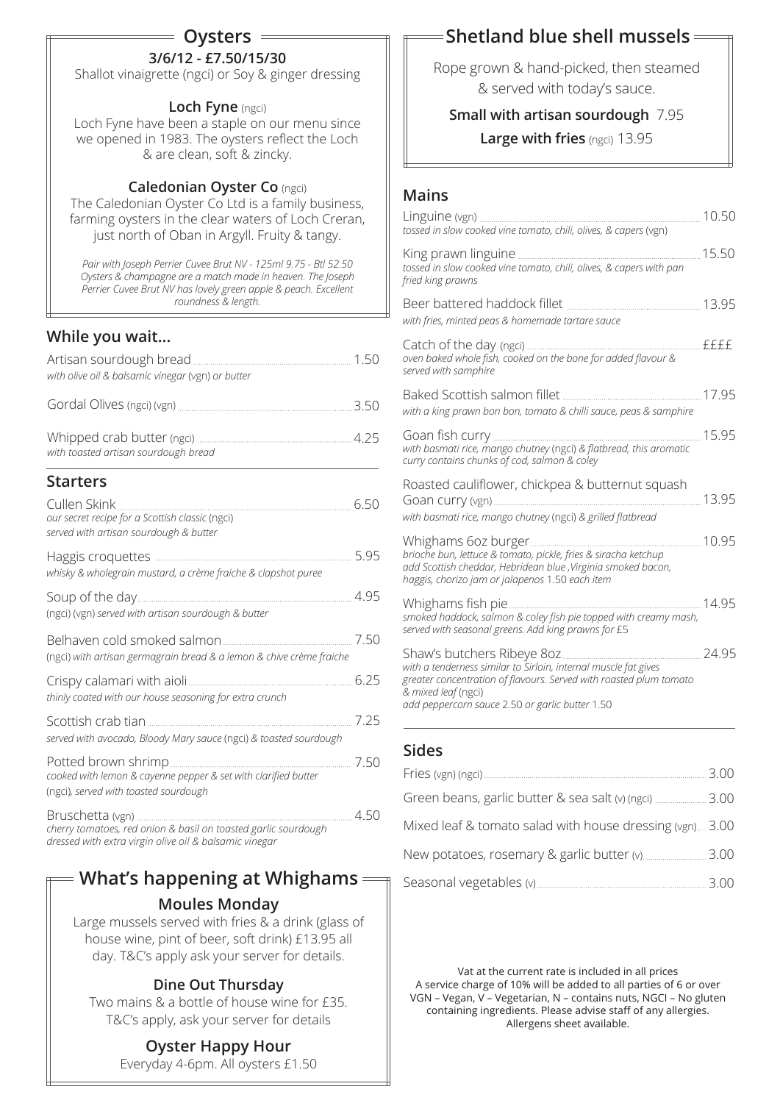# **Oysters**

# **3/6/12 - £7.50/15/30**

Shallot vinaigrette (ngci) or Soy & ginger dressing

#### **Loch Fyne** (ngci)

Loch Fyne have been a staple on our menu since we opened in 1983. The oysters reflect the Loch & are clean, soft & zincky.

#### **Caledonian Oyster Co** (ngci)

The Caledonian Oyster Co Ltd is a family business, farming oysters in the clear waters of Loch Creran, just north of Oban in Argyll. Fruity & tangy.

*Pair with Joseph Perrier Cuvee Brut NV - 125ml 9.75 - Btl 52.50 Oysters & champagne are a match made in heaven. The Joseph Perrier Cuvee Brut NV has lovely green apple & peach. Excellent roundness & length.* 

## **While you wait...**

| with olive oil & balsamic vinegar (vgn) or butter                                                         |      |
|-----------------------------------------------------------------------------------------------------------|------|
|                                                                                                           | 3.50 |
| with toasted artisan sourdough bread                                                                      |      |
| <b>Starters</b>                                                                                           |      |
| Cullen Skink<br>our secret recipe for a Scottish classic (ngci)<br>served with artisan sourdough & butter | 6.50 |
| whisky & wholegrain mustard, a crème fraiche & clapshot puree                                             | 5.95 |
| (ngci) (vgn) served with artisan sourdough & butter                                                       | 4.95 |
| (ngci) with artisan germagrain bread & a lemon & chive crème fraiche                                      | 7.50 |
| thinly coated with our house seasoning for extra crunch                                                   | 6.25 |
| served with avocado, Bloody Mary sauce (ngci) & toasted sourdough                                         | 7.25 |
| cooked with lemon & cayenne pepper & set with clarified butter<br>(ngci), served with toasted sourdough   | 7.50 |
| Bruschetta (ven)                                                                                          | 4.50 |

Bruschetta (vgn) *cherry tomatoes, red onion & basil on toasted garlic sourdough dressed with extra virgin olive oil & balsamic vinegar*

# **Moules Monday What's happening at Whighams**

Large mussels served with fries & a drink (glass of house wine, pint of beer, soft drink) £13.95 all day. T&C's apply ask your server for details.

## **Dine Out Thursday**

Two mains & a bottle of house wine for £35. T&C's apply, ask your server for details

# **Oyster Happy Hour**

Everyday 4-6pm. All oysters £1.50

# **Shetland blue shell mussels**

Rope grown & hand-picked, then steamed & served with today's sauce.

### **Small with artisan sourdough** 7.95

### **Large with fries** (ngci) 13.95

### **Mains**

| tossed in slow cooked vine tomato, chili, olives, & capers (vgn)                                                                                                                                                | 10.50 |
|-----------------------------------------------------------------------------------------------------------------------------------------------------------------------------------------------------------------|-------|
| tossed in slow cooked vine tomato, chili, olives, & capers with pan<br>fried king prawns                                                                                                                        |       |
| with fries, minted peas & homemade tartare sauce                                                                                                                                                                |       |
| oven baked whole fish, cooked on the bone for added flavour &<br>served with samphire                                                                                                                           | ffff  |
| with a king prawn bon bon, tomato & chilli sauce, peas & samphire                                                                                                                                               |       |
| with basmati rice, mango chutney (ngci) & flatbread, this aromatic<br>curry contains chunks of cod, salmon & coley                                                                                              |       |
| Roasted cauliflower, chickpea & butternut squash<br>13.95<br>Goan curry (vgn)<br>with basmati rice, mango chutney (ngci) & grilled flatbread                                                                    |       |
| brioche bun, lettuce & tomato, pickle, fries & siracha ketchup<br>add Scottish cheddar, Hebridean blue , Virginia smoked bacon,<br>haggis, chorizo jam or jalapenos 1.50 each item                              |       |
| smoked haddock, salmon & coley fish pie topped with creamy mash,<br>served with seasonal greens. Add king prawns for £5                                                                                         |       |
| with a tenderness similar to Sirloin, internal muscle fat gives<br>greater concentration of flavours. Served with roasted plum tomato<br>& mixed leaf (ngci)<br>add peppercorn sauce 2.50 or garlic butter 1.50 | 24.95 |

## **Sides**

|                                                          | 3.00  |
|----------------------------------------------------------|-------|
| Green beans, garlic butter & sea salt (v) (ngci)  3.00   |       |
| Mixed leaf & tomato salad with house dressing (vgn) 3.00 |       |
|                                                          | .3.00 |
| Seasonal vegetables (v)                                  | 3.00  |

Vat at the current rate is included in all prices A service charge of 10% will be added to all parties of 6 or over VGN – Vegan, V – Vegetarian, N – contains nuts, NGCI – No gluten containing ingredients. Please advise staff of any allergies. Allergens sheet available.